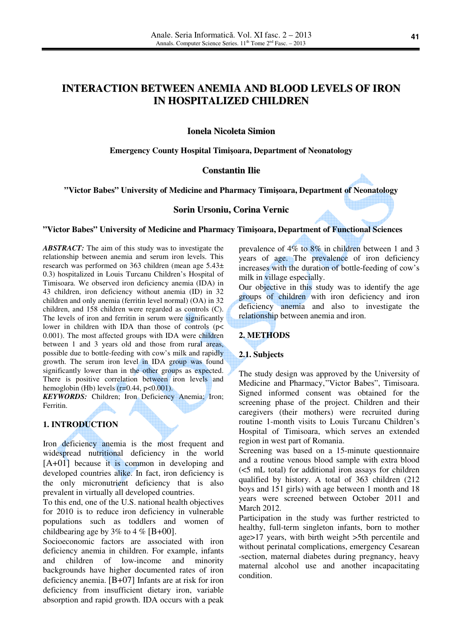# **INTERACTION BETWEEN ANEMIA AND BLOOD LEVELS OF IRON IN HOSPITALIZED CHILDREN**

# **Ionela Nicoleta Simion**

#### **Emergency County Hospital Timi**ş**oara, Department of Neonatology**

## **Constantin Ilie**

#### **"Victor Babes" University of Medicine and Pharmacy Timi**ş**oara, Department of Neonatology**

#### **Sorin Ursoniu, Corina Vernic**

#### **"Victor Babes" University of Medicine and Pharmacy Timi**ş**oara, Department of Functional Sciences**

*ABSTRACT:* The aim of this study was to investigate the relationship between anemia and serum iron levels. This research was performed on 363 children (mean age 5.43± 0.3) hospitalized in Louis Turcanu Children's Hospital of Timisoara. We observed iron deficiency anemia (IDA) in 43 children, iron deficiency without anemia (ID) in 32 children and only anemia (ferritin level normal) (OA) in 32 children, and 158 children were regarded as controls (C). The levels of iron and ferritin in serum were significantly lower in children with IDA than those of controls (p< 0.001). The most affected groups with IDA were children between 1 and 3 years old and those from rural areas, possible due to bottle-feeding with cow's milk and rapidly growth. The serum iron level in IDA group was found significantly lower than in the other groups as expected. There is positive correlation between iron levels and hemoglobin (Hb) levels  $(r=0.44, p<0.001)$ .

KEYWORDS: Children; Iron Deficiency Anemia; Iron; Ferritin.

#### **1. INTRODUCTION**

Iron deficiency anemia is the most frequent and widespread nutritional deficiency in the world [A+01] because it is common in developing and developed countries alike. In fact, iron deficiency is the only micronutrient deficiency that is also prevalent in virtually all developed countries.

To this end, one of the U.S. national health objectives for 2010 is to reduce iron deficiency in vulnerable populations such as toddlers and women of childbearing age by 3% to 4 % [B+00].

Socioeconomic factors are associated with iron deficiency anemia in children. For example, infants and children of low-income and minority backgrounds have higher documented rates of iron deficiency anemia. [B+07] Infants are at risk for iron deficiency from insufficient dietary iron, variable absorption and rapid growth. IDA occurs with a peak

prevalence of 4% to 8% in children between 1 and 3 years of age. The prevalence of iron deficiency increases with the duration of bottle-feeding of cow's milk in village especially.

Our objective in this study was to identify the age groups of children with iron deficiency and iron deficiency anemia and also to investigate the relationship between anemia and iron.

### **2. METHODS**

### **2.1. Subjects**

The study design was approved by the University of Medicine and Pharmacy,"Victor Babes", Timisoara. Signed informed consent was obtained for the screening phase of the project. Children and their caregivers (their mothers) were recruited during routine 1-month visits to Louis Turcanu Children's Hospital of Timisoara, which serves an extended region in west part of Romania.

Screening was based on a 15-minute questionnaire and a routine venous blood sample with extra blood (<5 mL total) for additional iron assays for children qualified by history. A total of 363 children (212 boys and 151 girls) with age between 1 month and 18 years were screened between October 2011 and March 2012.

Participation in the study was further restricted to healthy, full-term singleton infants, born to mother age>17 years, with birth weight >5th percentile and without perinatal complications, emergency Cesarean -section, maternal diabetes during pregnancy, heavy maternal alcohol use and another incapacitating condition.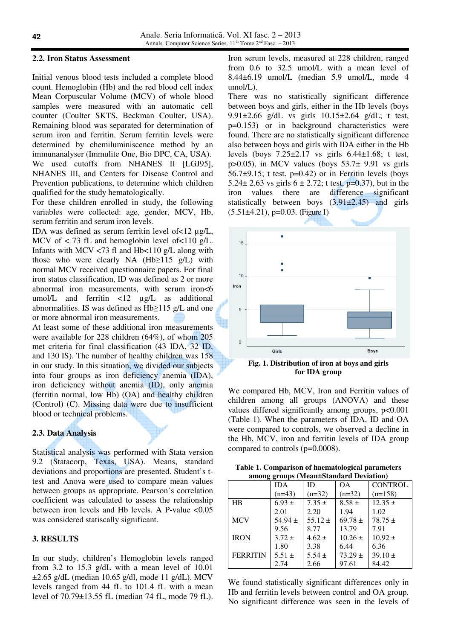### **2.2. Iron Status Assessment**

Initial venous blood tests included a complete blood count. Hemoglobin (Hb) and the red blood cell index Mean Corpuscular Volume (MCV) of whole blood samples were measured with an automatic cell counter (Coulter SKTS, Beckman Coulter, USA). Remaining blood was separated for determination of serum iron and ferritin. Serum ferritin levels were determined by chemiluminiscence method by an immunanalyser (Immulite One, Bio DPC, CA, USA).

We used cutoffs from NHANES II [LGJ95], NHANES ІІІ, and Centers for Disease Control and Prevention publications, to determine which children qualified for the study hematologically.

For these children enrolled in study, the following variables were collected: age, gender, MCV, Hb, serum ferritin and serum iron levels.

IDA was defined as serum ferritin level of<12 µg/L, MCV of  $\lt$  73 fL and hemoglobin level of  $\lt$ 110 g/L. Infants with MCV  $\langle 73 \text{ fl} \rangle$  and Hb $\langle 110 \text{ g/L} \rangle$  along with those who were clearly NA  $(Hb \ge 115 g/L)$  with normal MCV received questionnaire papers. For final iron status classification, ID was defined as 2 or more abnormal iron measurements, with serum iron<6 umol/L and ferritin <12 µg/L as additional abnormalities. IS was defined as Hb≥115 g/L and one or more abnormal iron measurements.

At least some of these additional iron measurements were available for 228 children (64%), of whom 205 met criteria for final classification (43 IDA, 32 ID, and 130 IS). The number of healthy children was 158 in our study. In this situation, we divided our subjects into four groups as iron deficiency anemia (IDA), iron deficiency without anemia (ID), only anemia (ferritin normal, low Hb) (OA) and healthy children (Control) (C). Missing data were due to insufficient blood or technical problems.

#### **2.3. Data Analysis**

Statistical analysis was performed with Stata version 9.2 (Statacorp, Texas, USA). Means, standard deviations and proportions are presented. Student's ttest and Anova were used to compare mean values between groups as appropriate. Pearson's correlation coefficient was calculated to assess the relationship between iron levels and Hb levels. A P-value <0.05 was considered statiscally significant.

### **3. RESULTS**

In our study, children's Hemoglobin levels ranged from 3.2 to 15.3 g/dL with a mean level of 10.01 ±2.65 g/dL (median 10.65 g/dl, mode 11 g/dL). MCV levels ranged from 44 fL to 101.4 fL with a mean level of 70.79±13.55 fL (median 74 fL, mode 79 fL). Iron serum levels, measured at 228 children, ranged from 0.6 to 32.5 umol/L with a mean level of 8.44±6.19 umol/L (median 5.9 umol/L, mode 4 umol/L).

There was no statistically significant difference between boys and girls, either in the Hb levels (boys 9.91±2.66 g/dL vs girls 10.15±2.64 g/dL; t test, p=0.153) or in background characteristics were found. There are no statistically significant difference also between boys and girls with IDA either in the Hb levels (boys  $7.25\pm2.17$  vs girls  $6.44\pm1.68$ ; t test, p $>0.05$ ), in MCV values (boys  $53.7\pm 9.91$  vs girls 56.7 $\pm$ 9.15; t test, p=0.42) or in Ferritin levels (boys 5.24 $\pm$  2.63 vs girls 6  $\pm$  2.72; t test, p=0.37), but in the iron values there are difference significant statistically between boys  $(3.91\pm2.45)$  and girls  $(5.51\pm4.21)$ , p=0.03. (Figure 1)



**Fig. 1. Distribution of iron at boys and girls for IDA group** 

We compared Hb, MCV, Iron and Ferritin values of children among all groups (ANOVA) and these values differed significantly among groups,  $p<0.001$ (Table 1). When the parameters of IDA, ID and OA were compared to controls, we observed a decline in the Hb, MCV, iron and ferritin levels of IDA group compared to controls (p=0.0008).

| Table 1. Comparison of haematological parameters |
|--------------------------------------------------|
| among groups (Mean±Standard Deviation)           |

|                 | <b>IDA</b>  | ID          | OΑ          | <b>CONTROL</b> |  |
|-----------------|-------------|-------------|-------------|----------------|--|
|                 | $(n=43)$    | $(n=32)$    | $(n=32)$    | $(n=158)$      |  |
| HR              | $6.93 \pm$  | $7.35 \pm$  | $8.58 \pm$  | $12.35 \pm$    |  |
|                 | 2.01        | 2.20        | 1.94        | 1.02           |  |
| <b>MCV</b>      | $54.94 \pm$ | $55.12 \pm$ | $69.78 \pm$ | $78.75 \pm$    |  |
|                 | 9.56        | 8.77        | 13.79       | 7.91           |  |
| <b>IRON</b>     | $3.72 \pm$  | $4.62 \pm$  | $10.26 \pm$ | $10.92 \pm$    |  |
|                 | 1.80        | 3.38        | 6.44        | 6.36           |  |
| <b>FERRITIN</b> | $5.51 \pm$  | $5.54 \pm$  | $73.29 \pm$ | $39.10 \pm$    |  |
|                 | 2.74        | 2.66        | 97.61       | 84.42          |  |

We found statistically significant differences only in Hb and ferritin levels between control and OA group. No significant difference was seen in the levels of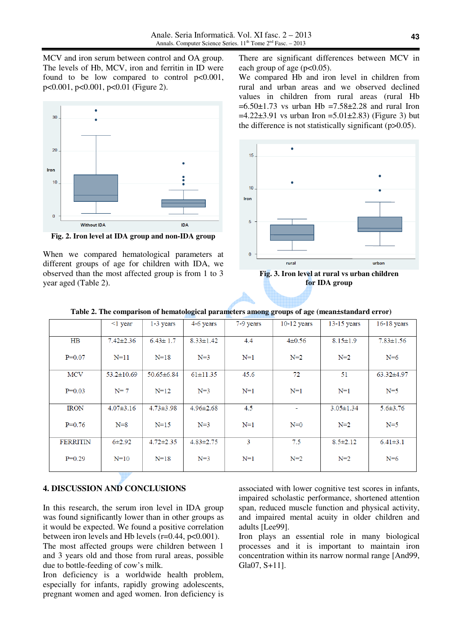MCV and iron serum between control and OA group. The levels of Hb, MCV, iron and ferritin in ID were found to be low compared to control  $p<0.001$ , p<0.001, p<0.001, p<0.01 (Figure 2).



**Fig. 2. Iron level at IDA group and non-IDA group** 

When we compared hematological parameters at different groups of age for children with IDA, we observed than the most affected group is from 1 to 3 year aged (Table 2).

There are significant differences between MCV in each group of age ( $p<0.05$ ).

We compared Hb and iron level in children from rural and urban areas and we observed declined values in children from rural areas (rural Hb  $=6.50\pm1.73$  vs urban Hb  $=7.58\pm2.28$  and rural Iron  $=4.22\pm3.91$  vs urban Iron  $=5.01\pm2.83$ ) (Figure 3) but the difference is not statistically significant (p>0.05).



**Fig. 3. Iron level at rural vs urban children for IDA group**

|                 | $\leq 1$ year    | $1-3$ years      | 4-6 years       | 7-9 years | $10-12$ years  | $13-15$ years   | $16-18$ years   |
|-----------------|------------------|------------------|-----------------|-----------|----------------|-----------------|-----------------|
|                 |                  |                  |                 |           |                |                 |                 |
| $H\text{B}$     | $7.42 \pm 2.36$  | $6.43 \pm 1.7$   | $8.33 \pm 1.42$ | 4.4       | $4\pm 0.56$    | $8.15 \pm 1.9$  | $7.83 \pm 1.56$ |
| $P=0.07$        | $N=11$           | $N=18$           | $N=3$           | $N=1$     | $N=2$          | $N=2$           | $N=6$           |
|                 |                  |                  |                 |           |                |                 |                 |
| <b>MCV</b>      | $53.2 \pm 10.69$ | $50.65 \pm 6.84$ | $61 \pm 11.35$  | 45.6      | 72             | 51              | $63.32\pm4.97$  |
|                 |                  |                  |                 |           |                |                 |                 |
| $P=0.03$        | $N=7$            | $N = 12$         | $N=3$           | $N=1$     | $N=1$          | $N=1$           | $N=5$           |
|                 |                  |                  |                 |           |                |                 |                 |
| <b>IRON</b>     | $4.07 \pm 3.16$  | $4.73 \pm 3.98$  | $4.96 \pm 2.68$ | 4.5       | $\blacksquare$ | $3.05 \pm 1.34$ | $5.6 \pm 3.76$  |
|                 |                  |                  |                 |           |                |                 |                 |
| $P=0.76$        | $N=8$            | $N = 15$         | $N=3$           | $N=1$     | $N=0$          | $N=2$           | $N=5$           |
| <b>FERRITIN</b> | $6 + 2.92$       | $4.72 \pm 2.35$  | $4.83 \pm 2.75$ | 3         | 7.5            | $8.5 \pm 2.12$  | $6.41 \pm 3.1$  |
|                 |                  |                  |                 |           |                |                 |                 |
| $P=0.29$        | $N=10$           | $N=18$           | $N=3$           | $N=1$     | $N=2$          | $N=2$           | $N=6$           |
|                 |                  |                  |                 |           |                |                 |                 |
|                 |                  |                  |                 |           |                |                 |                 |

**Table 2. The comparison of hematological parameters among groups of age (mean±standard error)** 

# **4. DISCUSSION AND CONCLUSIONS**

In this research, the serum iron level in IDA group was found significantly lower than in other groups as it would be expected. We found a positive correlation between iron levels and Hb levels  $(r=0.44, p<0.001)$ . The most affected groups were children between 1 and 3 years old and those from rural areas, possible due to bottle-feeding of cow's milk.

Iron deficiency is a worldwide health problem, especially for infants, rapidly growing adolescents, pregnant women and aged women. Iron deficiency is associated with lower cognitive test scores in infants, impaired scholastic performance, shortened attention span, reduced muscle function and physical activity, and impaired mental acuity in older children and adults [Lee99].

Iron plays an essential role in many biological processes and it is important to maintain iron concentration within its narrow normal range [And99, Gla07, S+11].